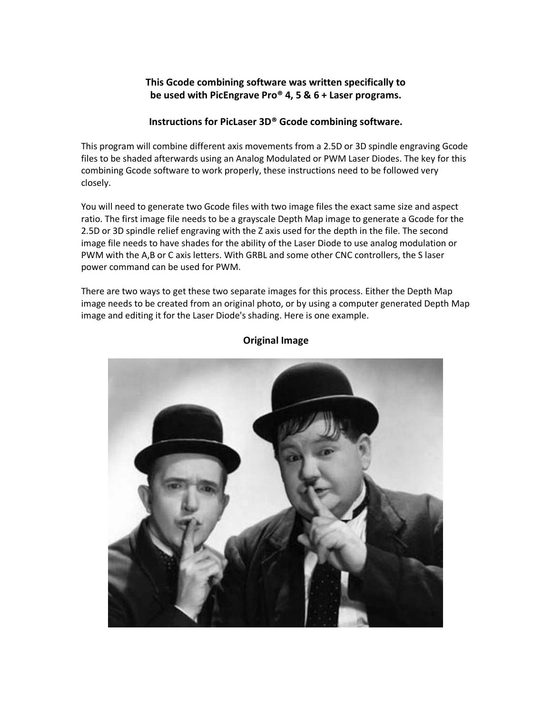## **This Gcode combining software was written specifically to be used with PicEngrave Pro® 4, 5 & 6 + Laser programs.**

## **Instructions for PicLaser 3D® Gcode combining software.**

This program will combine different axis movements from a 2.5D or 3D spindle engraving Gcode files to be shaded afterwards using an Analog Modulated or PWM Laser Diodes. The key for this combining Gcode software to work properly, these instructions need to be followed very closely.

You will need to generate two Gcode files with two image files the exact same size and aspect ratio. The first image file needs to be a grayscale Depth Map image to generate a Gcode for the 2.5D or 3D spindle relief engraving with the Z axis used for the depth in the file. The second image file needs to have shades for the ability of the Laser Diode to use analog modulation or PWM with the A,B or C axis letters. With GRBL and some other CNC controllers, the S laser power command can be used for PWM.

There are two ways to get these two separate images for this process. Either the Depth Map image needs to be created from an original photo, or by using a computer generated Depth Map image and editing it for the Laser Diode's shading. Here is one example.



## **Original Image**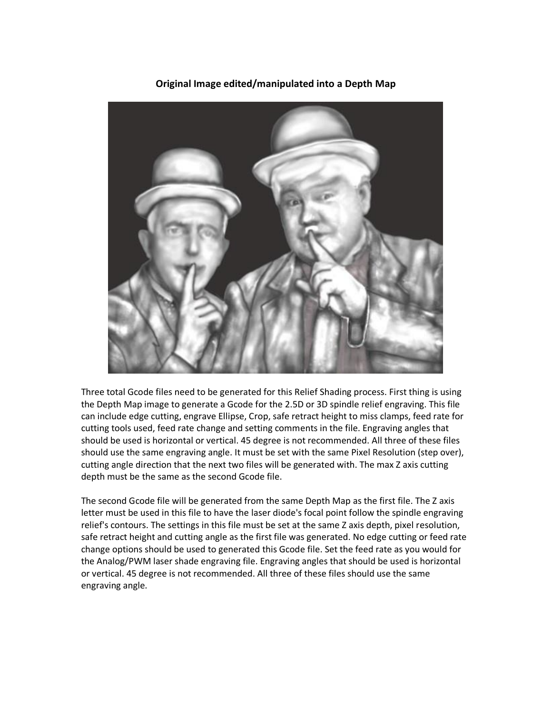

**Original Image edited/manipulated into a Depth Map**

Three total Gcode files need to be generated for this Relief Shading process. First thing is using the Depth Map image to generate a Gcode for the 2.5D or 3D spindle relief engraving. This file can include edge cutting, engrave Ellipse, Crop, safe retract height to miss clamps, feed rate for cutting tools used, feed rate change and setting comments in the file. Engraving angles that should be used is horizontal or vertical. 45 degree is not recommended. All three of these files should use the same engraving angle. It must be set with the same Pixel Resolution (step over), cutting angle direction that the next two files will be generated with. The max Z axis cutting depth must be the same as the second Gcode file.

The second Gcode file will be generated from the same Depth Map as the first file. The Z axis letter must be used in this file to have the laser diode's focal point follow the spindle engraving relief's contours. The settings in this file must be set at the same Z axis depth, pixel resolution, safe retract height and cutting angle as the first file was generated. No edge cutting or feed rate change options should be used to generated this Gcode file. Set the feed rate as you would for the Analog/PWM laser shade engraving file. Engraving angles that should be used is horizontal or vertical. 45 degree is not recommended. All three of these files should use the same engraving angle.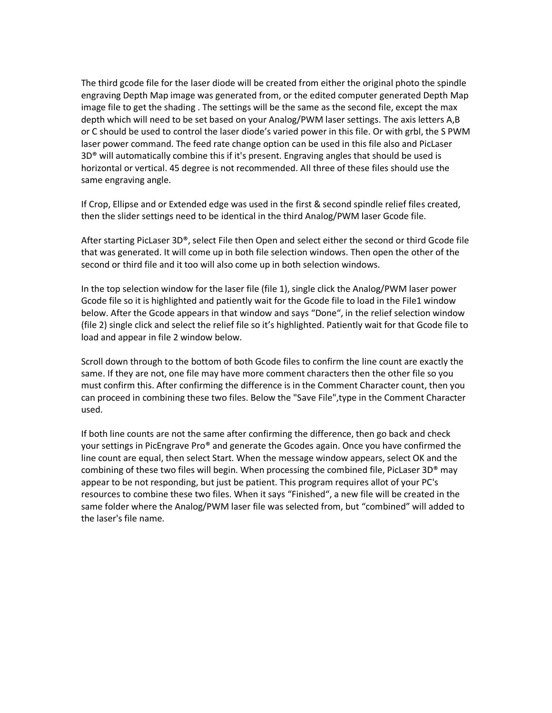The third gcode file for the laser diode will be created from either the original photo the spindle engraving Depth Map image was generated from, or the edited computer generated Depth Map image file to get the shading . The settings will be the same as the second file, except the max depth which will need to be set based on your Analog/PWM laser settings. The axis letters A,B or C should be used to control the laser diode's varied power in this file. Or with grbl, the S PWM laser power command. The feed rate change option can be used in this file also and PicLaser  $3D<sup>®</sup>$  will automatically combine this if it's present. Engraving angles that should be used is horizontal or vertical. 45 degree is not recommended. All three of these files should use the same engraving angle.

If Crop, Ellipse and or Extended edge was used in the first & second spindle relief files created, then the slider settings need to be identical in the third Analog/PWM laser Gcode file.

After starting PicLaser 3D®, select File then Open and select either the second or third Gcode file that was generated. It will come up in both file selection windows. Then open the other of the second or third file and it too will also come up in both selection windows.

In the top selection window for the laser file (file 1), single click the Analog/PWM laser power Gcode file so it is highlighted and patiently wait for the Gcode file to load in the File1 window below. After the Gcode appears in that window and says "Done", in the relief selection window (file 2) single click and select the relief file so it's highlighted. Patiently wait for that Gcode file to load and appear in file 2 window below.

Scroll down through to the bottom of both Gcode files to confirm the line count are exactly the same. If they are not, one file may have more comment characters then the other file so you must confirm this. After confirming the difference is in the Comment Character count, then you can proceed in combining these two files. Below the "Save File",type in the Comment Character used.

If both line counts are not the same after confirming the difference, then go back and check your settings in PicEngrave Pro® and generate the Gcodes again. Once you have confirmed the line count are equal, then select Start. When the message window appears, select OK and the combining of these two files will begin. When processing the combined file, PicLaser 3D® may appear to be not responding, but just be patient. This program requires allot of your PC's resources to combine these two files. When it says "Finished", a new file will be created in the same folder where the Analog/PWM laser file was selected from, but "combined" will added to the laser's file name.